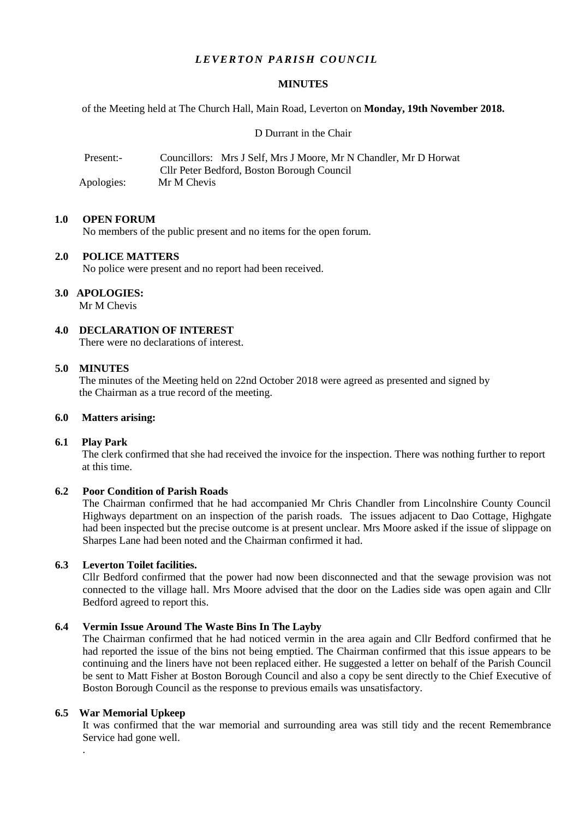## *LEVERTON PARISH COUNCIL*

#### **MINUTES**

of the Meeting held at The Church Hall, Main Road, Leverton on **Monday, 19th November 2018.**

D Durrant in the Chair

| Present:-  | Councillors: Mrs J Self, Mrs J Moore, Mr N Chandler, Mr D Horwat |
|------------|------------------------------------------------------------------|
|            | Cllr Peter Bedford, Boston Borough Council                       |
| Apologies: | Mr M Chevis                                                      |

#### **1.0 OPEN FORUM**

No members of the public present and no items for the open forum.

#### **2.0 POLICE MATTERS**

No police were present and no report had been received.

### **3.0 APOLOGIES:**

Mr M Chevis

**4.0 DECLARATION OF INTEREST**

There were no declarations of interest.

#### **5.0 MINUTES**

 The minutes of the Meeting held on 22nd October 2018 were agreed as presented and signed by the Chairman as a true record of the meeting.

#### **6.0 Matters arising:**

#### **6.1 Play Park**

The clerk confirmed that she had received the invoice for the inspection. There was nothing further to report at this time.

### **6.2 Poor Condition of Parish Roads**

The Chairman confirmed that he had accompanied Mr Chris Chandler from Lincolnshire County Council Highways department on an inspection of the parish roads. The issues adjacent to Dao Cottage, Highgate had been inspected but the precise outcome is at present unclear. Mrs Moore asked if the issue of slippage on Sharpes Lane had been noted and the Chairman confirmed it had.

#### **6.3 Leverton Toilet facilities.**

Cllr Bedford confirmed that the power had now been disconnected and that the sewage provision was not connected to the village hall. Mrs Moore advised that the door on the Ladies side was open again and Cllr Bedford agreed to report this.

# **6.4 Vermin Issue Around The Waste Bins In The Layby**

The Chairman confirmed that he had noticed vermin in the area again and Cllr Bedford confirmed that he had reported the issue of the bins not being emptied. The Chairman confirmed that this issue appears to be continuing and the liners have not been replaced either. He suggested a letter on behalf of the Parish Council be sent to Matt Fisher at Boston Borough Council and also a copy be sent directly to the Chief Executive of Boston Borough Council as the response to previous emails was unsatisfactory.

#### **6.5 War Memorial Upkeep**

.

It was confirmed that the war memorial and surrounding area was still tidy and the recent Remembrance Service had gone well.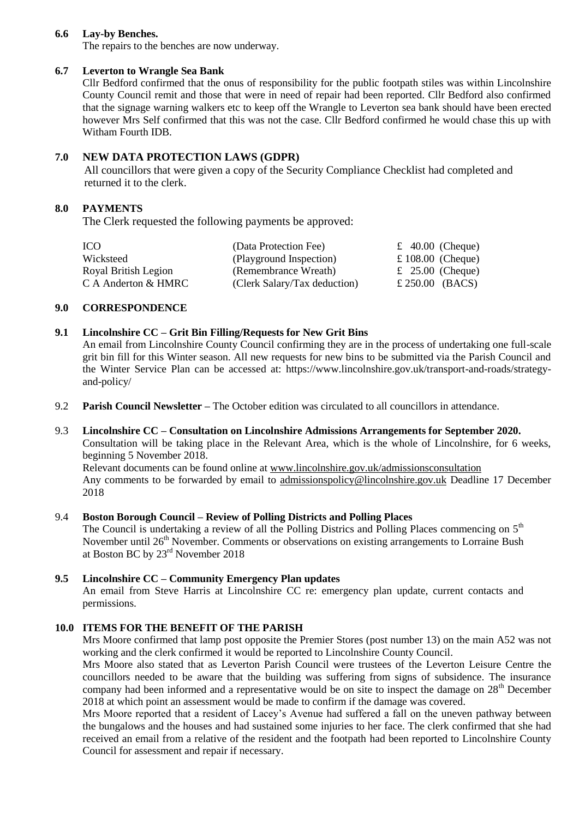### **6.6 Lay-by Benches.**

The repairs to the benches are now underway.

### **6.7 Leverton to Wrangle Sea Bank**

Cllr Bedford confirmed that the onus of responsibility for the public footpath stiles was within Lincolnshire County Council remit and those that were in need of repair had been reported. Cllr Bedford also confirmed that the signage warning walkers etc to keep off the Wrangle to Leverton sea bank should have been erected however Mrs Self confirmed that this was not the case. Cllr Bedford confirmed he would chase this up with Witham Fourth IDB.

# **7.0 NEW DATA PROTECTION LAWS (GDPR)**

All councillors that were given a copy of the Security Compliance Checklist had completed and returned it to the clerk.

# **8.0 PAYMENTS**

The Clerk requested the following payments be approved:

| ICO.                 | (Data Protection Fee)        | £ 40.00 (Cheque)  |  |
|----------------------|------------------------------|-------------------|--|
| Wicksteed            | (Playground Inspection)      | £ 108.00 (Cheque) |  |
| Royal British Legion | (Remembrance Wreath)         | £ 25.00 (Cheque)  |  |
| C A Anderton & HMRC  | (Clerk Salary/Tax deduction) | £ 250.00 (BACS)   |  |

#### **9.0 CORRESPONDENCE**

## **9.1 Lincolnshire CC – Grit Bin Filling/Requests for New Grit Bins**

An email from Lincolnshire County Council confirming they are in the process of undertaking one full-scale grit bin fill for this Winter season. All new requests for new bins to be submitted via the Parish Council and the Winter Service Plan can be accessed at: https://www.lincolnshire.gov.uk/transport-and-roads/strategyand-policy/

9.2 **Parish Council Newsletter –** The October edition was circulated to all councillors in attendance.

# 9.3 **Lincolnshire CC – Consultation on Lincolnshire Admissions Arrangements for September 2020.**

Consultation will be taking place in the Relevant Area, which is the whole of Lincolnshire, for 6 weeks, beginning 5 November 2018.

Relevant documents can be found online at [www.lincolnshire.gov.uk/admissionsconsultation](http://www.lincolnshire.gov.uk/admissionsconsultation) Any comments to be forwarded by email to [admissionspolicy@lincolnshire.gov.uk](mailto:admissionspolicy@lincolnshire.gov.uk) Deadline 17 December 2018

#### 9.4 **Boston Borough Council – Review of Polling Districts and Polling Places**

The Council is undertaking a review of all the Polling Districs and Polling Places commencing on  $5<sup>th</sup>$ November until 26<sup>th</sup> November. Comments or observations on existing arrangements to Lorraine Bush at Boston BC by 23rd November 2018

# **9.5 Lincolnshire CC – Community Emergency Plan updates**

An email from Steve Harris at Lincolnshire CC re: emergency plan update, current contacts and permissions.

# **10.0 ITEMS FOR THE BENEFIT OF THE PARISH**

Mrs Moore confirmed that lamp post opposite the Premier Stores (post number 13) on the main A52 was not working and the clerk confirmed it would be reported to Lincolnshire County Council.

Mrs Moore also stated that as Leverton Parish Council were trustees of the Leverton Leisure Centre the councillors needed to be aware that the building was suffering from signs of subsidence. The insurance company had been informed and a representative would be on site to inspect the damage on 28<sup>th</sup> December 2018 at which point an assessment would be made to confirm if the damage was covered.

Mrs Moore reported that a resident of Lacey's Avenue had suffered a fall on the uneven pathway between the bungalows and the houses and had sustained some injuries to her face. The clerk confirmed that she had received an email from a relative of the resident and the footpath had been reported to Lincolnshire County Council for assessment and repair if necessary.